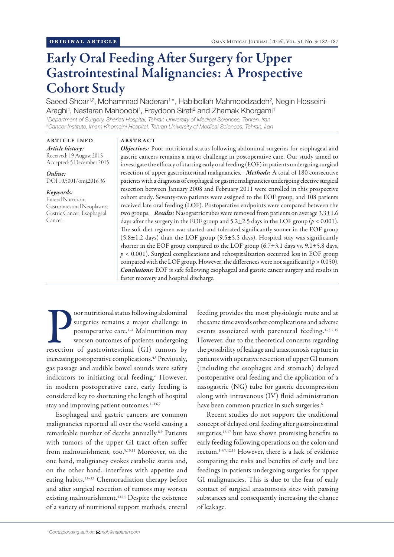# Early Oral Feeding After Surgery for Upper Gastrointestinal Malignancies: A Prospective Cohort Study

Saeed Shoar<sup>1,2</sup>, Mohammad Naderan<sup>1\*</sup>, Habibollah Mahmoodzadeh<sup>2</sup>, Negin Hosseini-Araghi<sup>1</sup>, Nastaran Mahboobi<sup>1</sup>, Freydoon Sirati<sup>2</sup> and Zhamak Khorgami<sup>1</sup>

*1 Department of Surgery, Shariati Hospital, Tehran University of Medical Sciences, Tehran, Iran 2 Cancer Institute, Imam Khomeini Hospital, Tehran University of Medical Sciences, Tehran, Iran*

# ARTICLE INFO

## ABSTRACT

*Article history:* Received: 19 August 2015 Accepted: 5 December 2015

*Online:* DOI 10.5001/omj.2016.36

#### *Keywords:*

Enteral Nutrition; Gastrointestinal Neoplasms; Gastric Cancer; Esophageal Cancer.

*Objectives:* Poor nutritional status following abdominal surgeries for esophageal and gastric cancers remains a major challenge in postoperative care. Our study aimed to investigate the efficacy of starting early oral feeding (EOF) in patients undergoing surgical resection of upper gastrointestinal malignancies. *Methods:* A total of 180 consecutive patients with a diagnosis of esophageal or gastric malignancies undergoing elective surgical resection between January 2008 and February 2011 were enrolled in this prospective cohort study. Seventy-two patients were assigned to the EOF group, and 108 patients received late oral feeding (LOF). Postoperative endpoints were compared between the two groups. *Results:* Nasogastric tubes were removed from patients on average 3.3±1.6 days after the surgery in the EOF group and  $5.2\pm2.5$  days in the LOF group ( $p < 0.001$ ). The soft diet regimen was started and tolerated significantly sooner in the EOF group (5.8±1.2 days) than the LOF group (9.5±5.5 days). Hospital stay was significantly shorter in the EOF group compared to the LOF group  $(6.7\pm3.1$  days vs.  $9.1\pm5.8$  days, *p* < 0.001). Surgical complications and rehospitalization occurred less in EOF group compared with the LOF group. However, the differences were not significant  $(p > 0.050)$ . *Conclusions:* EOF is safe following esophageal and gastric cancer surgery and results in faster recovery and hospital discharge.

For a poor nutritional status following abdominal<br>surgeries remains a major challenge in<br>postoperative care.<sup>1-4</sup> Malnutrition may<br>worsen outcomes of patients undergoing<br>resection of gastrointestinal (GI) tumors by oor nutritional status following abdominal surgeries remains a major challenge in postoperative care.1–4 Malnutrition may worsen outcomes of patients undergoing increasing postoperative complications.<sup>4,5</sup> Previously, gas passage and audible bowel sounds were safety indicators to initiating oral feeding.6 However, in modern postoperative care, early feeding is considered key to shortening the length of hospital stay and improving patient outcomes.<sup>1-4,6,7</sup>

Esophageal and gastric cancers are common malignancies reported all over the world causing a remarkable number of deaths annually.8,9 Patients with tumors of the upper GI tract often suffer from malnourishment, too.<sup>5,10,11</sup> Moreover, on the one hand, malignancy evokes catabolic status and, on the other hand, interferes with appetite and eating habits.<sup>11-13</sup> Chemoradiation therapy before and after surgical resection of tumors may worsen existing malnourishment.<sup>13,14</sup> Despite the existence of a variety of nutritional support methods, enteral feeding provides the most physiologic route and at the same time avoids other complications and adverse events associated with parenteral feeding.<sup>1-3,7,15</sup> However, due to the theoretical concerns regarding the possibility of leakage and anastomosis rupture in patients with operative resection of upper GI tumors (including the esophagus and stomach) delayed postoperative oral feeding and the application of a nasogastric (NG) tube for gastric decompression along with intravenous (IV) fluid administration have been common practice in such surgeries.<sup>6</sup>

Recent studies do not support the traditional concept of delayed oral feeding after gastrointestinal surgeries,<sup>16,17</sup> but have shown promising benefits to early feeding following operations on the colon and rectum.1-4,7,12,15 However, there is a lack of evidence comparing the risks and benefits of early and late feedings in patients undergoing surgeries for upper GI malignancies. This is due to the fear of early contact of surgical anastomosis sites with passing substances and consequently increasing the chance of leakage.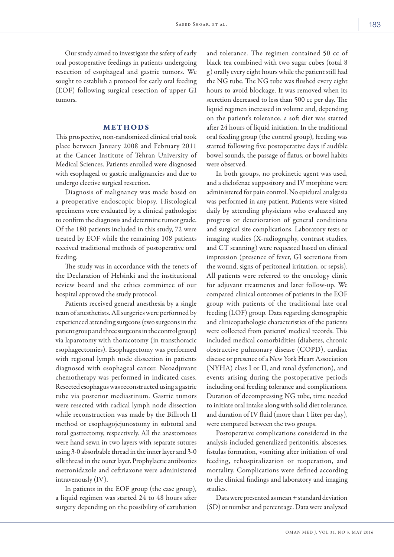Our study aimed to investigate the safety of early oral postoperative feedings in patients undergoing resection of esophageal and gastric tumors. We sought to establish a protocol for early oral feeding (EOF) following surgical resection of upper GI tumors.

# METHODS

This prospective, non-randomized clinical trial took place between January 2008 and February 2011 at the Cancer Institute of Tehran University of Medical Sciences. Patients enrolled were diagnosed with esophageal or gastric malignancies and due to undergo elective surgical resection.

Diagnosis of malignancy was made based on a preoperative endoscopic biopsy. Histological specimens were evaluated by a clinical pathologist to confirm the diagnosis and determine tumor grade. Of the 180 patients included in this study, 72 were treated by EOF while the remaining 108 patients received traditional methods of postoperative oral feeding.

The study was in accordance with the tenets of the Declaration of Helsinki and the institutional review board and the ethics committee of our hospital approved the study protocol.

Patients received general anesthesia by a single team of anesthetists. All surgeries were performed by experienced attending surgeons (two surgeons in the patient group and three surgeons in the control group) via laparotomy with thoracotomy (in transthoracic esophagectomies). Esophagectomy was performed with regional lymph node dissection in patients diagnosed with esophageal cancer. Neoadjuvant chemotherapy was performed in indicated cases. Resected esophagus was reconstructed using a gastric tube via posterior mediastinum. Gastric tumors were resected with radical lymph node dissection while reconstruction was made by the Billroth II method or esophagojejunostomy in subtotal and total gastrectomy, respectively. All the anastomoses were hand sewn in two layers with separate sutures using 3-0 absorbable thread in the inner layer and 3-0 silk thread in the outer layer. Prophylactic antibiotics metronidazole and ceftriaxone were administered intravenously (IV).

In patients in the EOF group (the case group), a liquid regimen was started 24 to 48 hours after surgery depending on the possibility of extubation

and tolerance. The regimen contained 50 cc of black tea combined with two sugar cubes (total 8 g) orally every eight hours while the patient still had the NG tube. The NG tube was flushed every eight hours to avoid blockage. It was removed when its secretion decreased to less than 500 cc per day. The liquid regimen increased in volume and, depending on the patient's tolerance, a soft diet was started after 24 hours of liquid initiation. In the traditional oral feeding group (the control group), feeding was started following five postoperative days if audible bowel sounds, the passage of flatus, or bowel habits were observed.

In both groups, no prokinetic agent was used, and a diclofenac suppository and IV morphine were administered for pain control. No epidural analgesia was performed in any patient. Patients were visited daily by attending physicians who evaluated any progress or deterioration of general conditions and surgical site complications. Laboratory tests or imaging studies (X-radiography, contrast studies, and CT scanning) were requested based on clinical impression (presence of fever, GI secretions from the wound, signs of peritoneal irritation, or sepsis). All patients were referred to the oncology clinic for adjuvant treatments and later follow-up. We compared clinical outcomes of patients in the EOF group with patients of the traditional late oral feeding (LOF) group. Data regarding demographic and clinicopathologic characteristics of the patients were collected from patients' medical records. This included medical comorbidities (diabetes, chronic obstructive pulmonary disease (COPD), cardiac disease or presence of a New York Heart Association (NYHA) class I or II, and renal dysfunction), and events arising during the postoperative periods including oral feeding tolerance and complications. Duration of decompressing NG tube, time needed to initiate oral intake along with solid diet tolerance, and duration of IV fluid (more than 1 liter per day), were compared between the two groups.

Postoperative complications considered in the analysis included generalized peritonitis, abscesses, fistulas formation, vomiting after initiation of oral feeding, rehospitalization or reoperation, and mortality. Complications were defined according to the clinical findings and laboratory and imaging studies.

Data were presented as mean ± standard deviation (SD) or number and percentage. Data were analyzed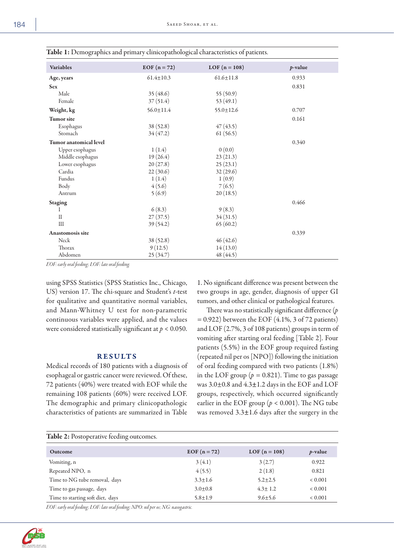| <b>Variables</b>              | $EOF (n = 72)$  | $LOF(n = 108)$  | $p$ -value |
|-------------------------------|-----------------|-----------------|------------|
| Age, years                    | $61.4 \pm 10.3$ | $61.6 \pm 11.8$ | 0.933      |
| <b>Sex</b>                    |                 |                 | 0.831      |
| Male                          | 35(48.6)        | 55(50.9)        |            |
| Female                        | 37(51.4)        | 53 $(49.1)$     |            |
| Weight, kg                    | $56.0 \pm 11.4$ | $55.0 \pm 12.6$ | 0.707      |
| <b>Tumor</b> site             |                 |                 | 0.161      |
| Esophagus                     | 38 (52.8)       | 47(43.5)        |            |
| Stomach                       | 34(47.2)        | 61(56.5)        |            |
| <b>Tumor</b> anatomical level |                 |                 | 0.340      |
| Upper esophagus               | 1(1.4)          | 0(0.0)          |            |
| Middle esophagus              | 19(26.4)        | 23(21.3)        |            |
| Lower esophagus               | 20(27.8)        | 25(23.1)        |            |
| Cardia                        | 22(30.6)        | 32(29.6)        |            |
| Fundus                        | 1(1.4)          | 1(0.9)          |            |
| Body                          | 4(5.6)          | 7(6.5)          |            |
| Antrum                        | 5(6.9)          | 20(18.5)        |            |
| <b>Staging</b>                |                 |                 | 0.466      |
| 1                             | 6(8.3)          | 9(8.3)          |            |
| $\mathbf{I}$                  | 27(37.5)        | 34(31.5)        |            |
| III                           | 39(54.2)        | 65(60.2)        |            |
| <b>Anastomosis site</b>       |                 |                 | 0.339      |
| <b>Neck</b>                   | 38 (52.8)       | 46(42.6)        |            |
| <b>Thorax</b>                 | 9(12.5)         | 14(13.0)        |            |
| Abdomen                       | 25 (34.7)       | 48 (44.5)       |            |

Table 1: Demographics and primary clinicopathological characteristics of patients.

*EOF: early oral feeding; LOF: late oral feeding.*

using SPSS Statistics (SPSS Statistics Inc., Chicago, US) version 17. The chi-square and Student's *t*-test for qualitative and quantitative normal variables, and Mann-Whitney U test for non-parametric continuous variables were applied, and the values were considered statistically significant at *p* < 0.050.

## RESULTS

Medical records of 180 patients with a diagnosis of esophageal or gastric cancer were reviewed. Of these, 72 patients (40%) were treated with EOF while the remaining 108 patients (60%) were received LOF. The demographic and primary clinicopathologic characteristics of patients are summarized in Table

1. No significant difference was present between the two groups in age, gender, diagnosis of upper GI tumors, and other clinical or pathological features.

There was no statistically significant difference (*p =* 0.922) between the EOF (4.1%, 3 of 72 patients) and LOF (2.7%, 3 of 108 patients) groups in term of vomiting after starting oral feeding [Table 2]. Four patients (5.5%) in the EOF group required fasting (repeated nil per os [NPO]) following the initiation of oral feeding compared with two patients (1.8%) in the LOF group ( $p = 0.821$ ). Time to gas passage was 3.0±0.8 and 4.3±1.2 days in the EOF and LOF groups, respectively, which occurred significantly earlier in the EOF group ( $p < 0.001$ ). The NG tube was removed 3.3±1.6 days after the surgery in the

| <b>Table 2: Postoperative feeding outcomes.</b> |               |                |             |  |  |
|-------------------------------------------------|---------------|----------------|-------------|--|--|
| <b>Outcome</b>                                  | EOF $(n=72)$  | $LOF(n = 108)$ | $p$ -value  |  |  |
| Vomiting, n                                     | 3(4.1)        | 3(2.7)         | 0.922       |  |  |
| Repeated NPO, n                                 | 4(5.5)        | 2(1.8)         | 0.821       |  |  |
| Time to NG tube removal, days                   | $3.3 \pm 1.6$ | $5.2 \pm 2.5$  | ${}< 0.001$ |  |  |
| Time to gas passage, days                       | $3.0 \pm 0.8$ | $4.3 \pm 1.2$  | ${}< 0.001$ |  |  |
| Time to starting soft diet, days                | $5.8 \pm 1.9$ | $9.6 \pm 5.6$  | ${}< 0.001$ |  |  |

*EOF: early oral feeding; LOF: late oral feeding; NPO: nil per os; NG: nasogastric.*

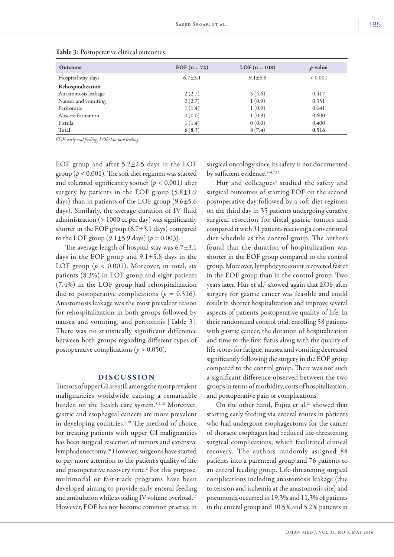| Outcome             | EOF $(n = 72)$ | $LOF(n = 108)$ | $p$ -value  |
|---------------------|----------------|----------------|-------------|
| Hospital stay, days | $6.7 + 3.1$    | $9.1 \pm 5.9$  | ${}< 0.001$ |
| Rehospitalization   |                |                |             |
| Anastomosis leakage | 2(2.7)         | 5(4.6)         | 0.417       |
| Nausea and vomiting | 2(2.7)         | 1(0.9)         | 0.351       |
| Peritonitis         | 1(1.4)         | 1(0.9)         | 0.641       |
| Abscess formation   | 0(0.0)         | 1(0.9)         | 0.600       |
| Fistula             | 1(1.4)         | 0(0.0)         | 0.400       |
| <b>Total</b>        | 6(8.3)         | 8(7.4)         | 0.516       |

*EOF: early oral feeding; LOF: late oral feeding.*

EOF group and after 5.2±2.5 days in the LOF group ( $p < 0.001$ ). The soft diet regimen was started and tolerated significantly sooner ( $p < 0.001$ ) after surgery by patients in the EOF group  $(5.8 \pm 1.9)$ days) than in patients of the LOF group (9.6±5.6 days). Similarly, the average duration of IV fluid administration (> 1000 cc per day) was significantly shorter in the EOF group (6.7±3.1 days) compared to the LOF group  $(9.1 \pm 5.9 \text{ days})$   $(p = 0.003)$ .

The average length of hospital stay was 6.7±3.1 days in the EOF group and 9.1±5.8 days in the LOF group ( $p < 0.001$ ). Moreover, in total, six patients (8.3%) in EOF group and eight patients (7.4%) in the LOF group had rehospitalization due to postoperative complications ( $p = 0.516$ ). Anastomosis leakage was the most prevalent reason for rehospitalization in both groups followed by nausea and vomiting, and peritonitis [Table 3]. There was no statistically significant difference between both groups regarding different types of postoperative complications ( $p > 0.050$ ).

#### DISCUSSION

Tumors of upper GI are still among the most prevalent malignancies worldwide causing a remarkable burden on the health care system.8,9,18 Moreover, gastric and esophageal cancers are more prevalent in developing countries.<sup>9,19</sup> The method of choice for treating patients with upper GI malignancies has been surgical resection of tumors and extensive lymphadenectomy.20 However, surgeons have started to pay more attention to the patient's quality of life and postoperative recovery time.<sup>2</sup> For this purpose, multimodal or fast-track programs have been developed aiming to provide early enteral feeding and ambulation while avoiding IV volume overload.<sup>17</sup> However, EOF has not become common practice in

surgical oncology since its safety is not documented by sufficient evidence.<sup>1-4,7,15</sup>

Hur and colleagues<sup>3</sup> studied the safety and surgical outcomes of starting EOF on the second postoperative day followed by a soft diet regimen on the third day in 35 patients undergoing curative surgical resection for distal gastric tumors and compared it with 31 patients receiving a conventional diet schedule as the control group. The authors found that the duration of hospitalization was shorter in the EOF group compared to the control group. Moreover, lymphocyte count recovered faster in the EOF group than in the control group. Two years later, Hur et al,<sup>2</sup> showed again that EOF after surgery for gastric cancer was feasible and could result in shorter hospitalization and improve several aspects of patients postoperative quality of life. In their randomized control trial, enrolling 58 patients with gastric cancer, the duration of hospitalization and time to the first flatus along with the quality of life scores for fatigue, nausea and vomiting decreased significantly following the surgery in the EOF group compared to the control group. There was not such a significant difference observed between the two groups in terms of morbidity, costs of hospitalization, and postoperative pain or complications.

On the other hand, Fujita et al,<sup>21</sup> showed that starting early feeding via enteral routes in patients who had undergone esophagectomy for the cancer of thoracic esophagus had reduced life-threatening surgical complications, which facilitated clinical recovery. The authors randomly assigned 88 patients into a parenteral group and 76 patients to an enteral feeding group. Life-threatening surgical complications including anastomosis leakage (due to tension and ischemia at the anastomosis site) and pneumonia occurred in 19.3% and 11.3% of patients in the enteral group and 10.5% and 5.2% patients in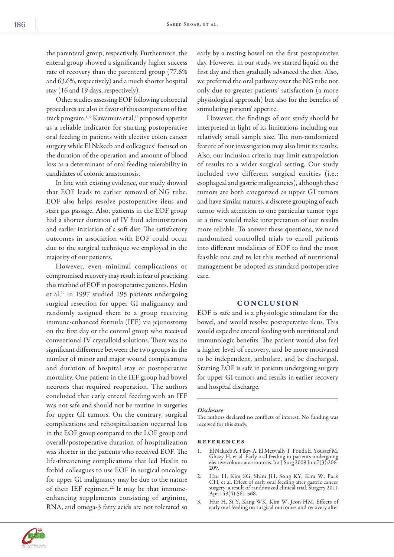the parenteral group, respectively. Furthermore, the enteral group showed a significantly higher success rate of recovery than the parenteral group (77.6% and 63.6%, respectively) and a much shorter hospital stay (16 and 19 days, respectively).

Other studies assessing EOF following colorectal procedures are also in favor of this component of fast track program.<sup>1,12</sup> Kawamura et al,<sup>12</sup> proposed appetite as a reliable indicator for starting postoperative oral feeding in patients with elective colon cancer surgery while El Nakeeb and colleagues<sup>1</sup> focused on the duration of the operation and amount of blood loss as a determinant of oral feeding tolerability in candidates of colonic anastomosis.

In line with existing evidence, our study showed that EOF leads to earlier removal of NG tube. EOF also helps resolve postoperative ileus and start gas passage. Also, patients in the EOF group had a shorter duration of IV fluid administration and earlier initiation of a soft diet. The satisfactory outcomes in association with EOF could occur due to the surgical technique we employed in the majority of our patients.

However, even minimal complications or compromised recovery may result in fear of practicing this method of EOF in postoperative patients. Heslin et al,<sup>22</sup> in 1997 studied 195 patients undergoing surgical resection for upper GI malignancy and randomly assigned them to a group receiving immune-enhanced formula (IEF) via jejunostomy on the first day or the control group who received conventional IV crystalloid solutions. There was no significant difference between the two groups in the number of minor and major wound complications and duration of hospital stay or postoperative mortality. One patient in the IEF group had bowel necrosis that required reoperation. The authors concluded that early enteral feeding with an IEF was not safe and should not be routine in surgeries for upper GI tumors. On the contrary, surgical complications and rehospitalization occurred less in the EOF group compared to the LOF group and overall/postoperative duration of hospitalization was shorter in the patients who received EOF. The life-threatening complications that led Heslin to forbid colleagues to use EOF in surgical oncology for upper GI malignancy may be due to the nature of their IEF regimen.<sup>22</sup> It may be that immuneenhancing supplements consisting of arginine, RNA, and omega-3 fatty acids are not tolerated so

early by a resting bowel on the first postoperative day. However, in our study, we started liquid on the first day and then gradually advanced the diet. Also, we preferred the oral pathway over the NG tube not only due to greater patients' satisfaction (a more physiological approach) but also for the benefits of stimulating patients' appetite.

However, the findings of our study should be interpreted in light of its limitations including our relatively small sample size. The non-randomized feature of our investigation may also limit its results. Also, our inclusion criteria may limit extrapolation of results to a wider surgical setting. Our study included two different surgical entities (i.e.; esophageal and gastric malignancies), although these tumors are both categorized as upper GI tumors and have similar natures, a discrete grouping of each tumor with attention to one particular tumor type at a time would make interpretation of our results more reliable. To answer these questions, we need randomized controlled trials to enroll patients into different modalities of EOF to find the most feasible one and to let this method of nutritional management be adopted as standard postoperative care.

### **CONCLUSION**

EOF is safe and is a physiologic stimulant for the bowel, and would resolve postoperative ileus. This would expedite enteral feeding with nutritional and immunologic benefits. The patient would also feel a higher level of recovery, and be more motivated to be independent, ambulate, and be discharged. Starting EOF is safe in patients undergoing surgery for upper GI tumors and results in earlier recovery and hospital discharge.

#### *Disclosure*

The authors declared no conflicts of interest. No funding was received for this study.

#### references

- 1. El Nakeeb A, Fikry A, El Metwally T, Fouda E, Youssef M, Ghazy H, et al. Early oral feeding in patients undergoing elective colonic anastomosis. Int J Surg 2009 Jun;7(3):206- 209.
- 2. Hur H, Kim SG, Shim JH, Song KY, Kim W, Park CH, et al. Effect of early oral feeding after gastric cancer surgery: a result of randomized clinical trial. Surgery 2011 Apr;149(4):561-568.
- 3. Hur H, Si Y, Kang WK, Kim W, Jeon HM. Effects of early oral feeding on surgical outcomes and recovery after